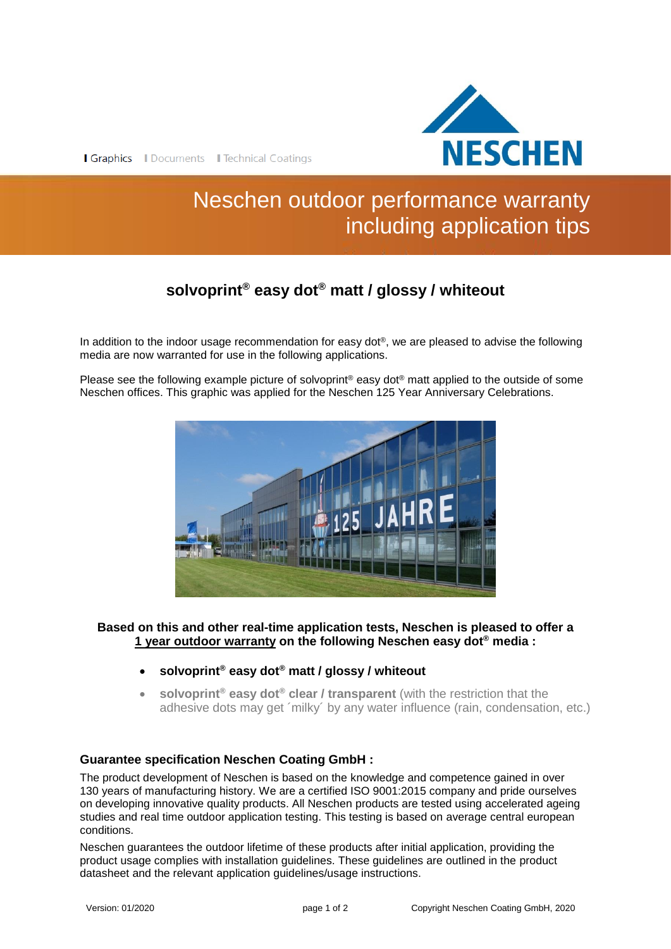

Graphics | Documents | Technical Coatings

# Neschen outdoor performance warranty including application tips

# **solvoprint® easy dot® matt / glossy / whiteout**

In addition to the indoor usage recommendation for easy dot<sup>®</sup>, we are pleased to advise the following media are now warranted for use in the following applications.

Please see the following example picture of solvoprint® easy dot® matt applied to the outside of some Neschen offices. This graphic was applied for the Neschen 125 Year Anniversary Celebrations.



**Based on this and other real-time application tests, Neschen is pleased to offer a 1 year outdoor warranty on the following Neschen easy dot® media :**

- **solvoprint® easy dot® matt / glossy / whiteout**
- **solvoprint® easy dot® clear / transparent** (with the restriction that the adhesive dots may get ´milky´ by any water influence (rain, condensation, etc.)

## **Guarantee specification Neschen Coating GmbH :**

The product development of Neschen is based on the knowledge and competence gained in over 130 years of manufacturing history. We are a certified ISO 9001:2015 company and pride ourselves on developing innovative quality products. All Neschen products are tested using accelerated ageing studies and real time outdoor application testing. This testing is based on average central european conditions.

Neschen guarantees the outdoor lifetime of these products after initial application, providing the product usage complies with installation guidelines. These guidelines are outlined in the product datasheet and the relevant application guidelines/usage instructions.